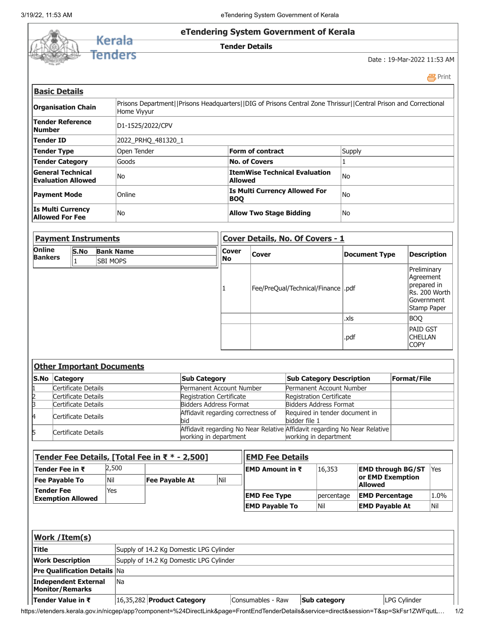

 [Print](javascript:void(0);)

| Prisons Department  Prisons Headquarters  DIG of Prisons Central Zone Thrissur  Central Prison and Correctional<br>Home Viyyur |                                                        |           |  |  |  |  |  |
|--------------------------------------------------------------------------------------------------------------------------------|--------------------------------------------------------|-----------|--|--|--|--|--|
| D1-1525/2022/CPV                                                                                                               |                                                        |           |  |  |  |  |  |
| 2022 PRHO 481320 1                                                                                                             |                                                        |           |  |  |  |  |  |
| Open Tender                                                                                                                    | Form of contract                                       | Supply    |  |  |  |  |  |
| Goods                                                                                                                          | <b>No. of Covers</b>                                   |           |  |  |  |  |  |
| No                                                                                                                             | <b>ItemWise Technical Evaluation</b><br><b>Allowed</b> | <b>No</b> |  |  |  |  |  |
| Online                                                                                                                         | <b>Is Multi Currency Allowed For</b><br><b>BOO</b>     | <b>No</b> |  |  |  |  |  |
| No                                                                                                                             | <b>Allow Two Stage Bidding</b>                         | No        |  |  |  |  |  |
|                                                                                                                                |                                                        |           |  |  |  |  |  |

| <b>Payment Instruments</b> |                                                    |  |                    | <b>Cover Details, No. Of Covers - 1</b> |                      |                                                                                       |  |  |  |
|----------------------------|----------------------------------------------------|--|--------------------|-----------------------------------------|----------------------|---------------------------------------------------------------------------------------|--|--|--|
| Online<br><b>Bankers</b>   | <b>S.No</b><br><b>Bank Name</b><br><b>SBI MOPS</b> |  | <b>Cover</b><br>No | <b>Cover</b>                            | <b>Document Type</b> | <b>Description</b>                                                                    |  |  |  |
|                            |                                                    |  |                    | Fee/PreQual/Technical/Finance   .pdf    |                      | Preliminary<br>Agreement<br>prepared in<br>Rs. 200 Worth<br>Government<br>Stamp Paper |  |  |  |
|                            |                                                    |  |                    |                                         | .xls                 | <b>BOO</b>                                                                            |  |  |  |
|                            |                                                    |  |                    |                                         | .pdf                 | <b>PAID GST</b><br><b>CHELLAN</b><br><b>COPY</b>                                      |  |  |  |

| <b>Other Important Documents</b> |                     |                                           |                                                                                                    |                    |  |  |  |  |  |
|----------------------------------|---------------------|-------------------------------------------|----------------------------------------------------------------------------------------------------|--------------------|--|--|--|--|--|
|                                  | S.No Category       | <b>Sub Category</b>                       | <b>Sub Category Description</b>                                                                    | <b>Format/File</b> |  |  |  |  |  |
|                                  | Certificate Details | Permanent Account Number                  | Permanent Account Number                                                                           |                    |  |  |  |  |  |
|                                  | Certificate Details | Registration Certificate                  | Registration Certificate                                                                           |                    |  |  |  |  |  |
|                                  | Certificate Details | Bidders Address Format                    | Bidders Address Format                                                                             |                    |  |  |  |  |  |
| ı4                               | Certificate Details | Affidavit regarding correctness of<br>bid | Required in tender document in<br>bidder file 1                                                    |                    |  |  |  |  |  |
| 15                               | Certificate Details | working in department                     | Affidavit regarding No Near Relative Affidavit regarding No Near Relative<br>working in department |                    |  |  |  |  |  |

| Tender Fee Details, [Total Fee in ₹ * - 2,500] |            |                | <b>EMD Fee Details</b> |                       |            |                                    |      |  |
|------------------------------------------------|------------|----------------|------------------------|-----------------------|------------|------------------------------------|------|--|
| Tender Fee in ₹                                | 2,500      |                |                        | ।EMD Amount in ₹      | 16,353     | <b>EMD through BG/ST</b>           | Yes  |  |
| <b>Fee Payable To</b>                          | Nil        | Fee Payable At | Nil                    |                       |            | or EMD Exemption<br><b>Allowed</b> |      |  |
| Tender Fee<br><b>Exemption Allowed</b>         | <b>Yes</b> |                |                        | <b>EMD Fee Type</b>   | percentage | <b>EMD Percentage</b>              | 1.0% |  |
|                                                |            |                |                        | <b>EMD Payable To</b> | Nil        | <b>EMD Payable At</b>              | Nil  |  |

| <b>Work / Item(s)</b>                          |      |                                         |                   |                     |              |  |  |  |  |  |
|------------------------------------------------|------|-----------------------------------------|-------------------|---------------------|--------------|--|--|--|--|--|
| <b>Title</b>                                   |      | Supply of 14.2 Kg Domestic LPG Cylinder |                   |                     |              |  |  |  |  |  |
| <b>Work Description</b>                        |      | Supply of 14.2 Kg Domestic LPG Cylinder |                   |                     |              |  |  |  |  |  |
| <b>Pre Qualification Details Na</b>            |      |                                         |                   |                     |              |  |  |  |  |  |
| Independent External<br><b>Monitor/Remarks</b> | l Na |                                         |                   |                     |              |  |  |  |  |  |
| । Tender Value in ₹                            |      | $ 16,35,282 $ Product Category          | Consumables - Raw | <b>Sub category</b> | LPG Cylinder |  |  |  |  |  |

https://etenders.kerala.gov.in/nicgep/app?component=%24DirectLink&page=FrontEndTenderDetails&service=direct&session=T&sp=SkFsr1ZWFqutL… 1/2